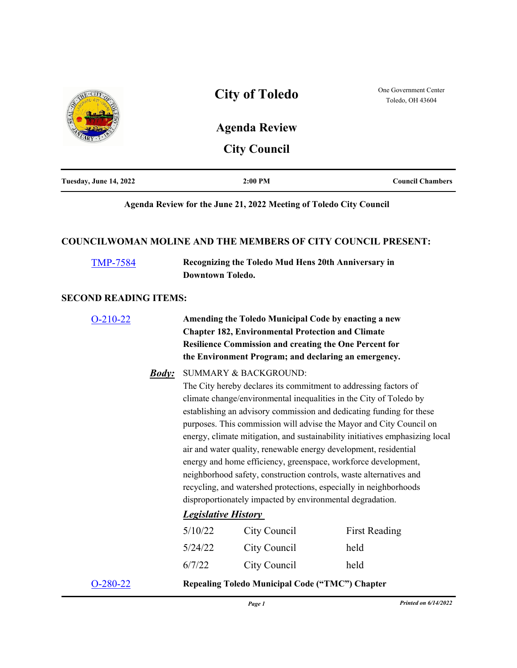

| Tuesday, June 14, 2022 | 2:00 PM | <b>Council Chambers</b> |
|------------------------|---------|-------------------------|
|                        |         |                         |

## **Agenda Review for the June 21, 2022 Meeting of Toledo City Council**

### **COUNCILWOMAN MOLINE AND THE MEMBERS OF CITY COUNCIL PRESENT:**

| <b>TMP-7584</b>              | Recognizing the Toledo Mud Hens 20th Anniversary in<br>Downtown Toledo.                                                                                                                                                                                                                                                                                                                                                                                                                                                                                                                                                                                                                    |
|------------------------------|--------------------------------------------------------------------------------------------------------------------------------------------------------------------------------------------------------------------------------------------------------------------------------------------------------------------------------------------------------------------------------------------------------------------------------------------------------------------------------------------------------------------------------------------------------------------------------------------------------------------------------------------------------------------------------------------|
| <b>SECOND READING ITEMS:</b> |                                                                                                                                                                                                                                                                                                                                                                                                                                                                                                                                                                                                                                                                                            |
| $O-210-22$                   | Amending the Toledo Municipal Code by enacting a new<br><b>Chapter 182, Environmental Protection and Climate</b><br><b>Resilience Commission and creating the One Percent for</b><br>the Environment Program; and declaring an emergency.                                                                                                                                                                                                                                                                                                                                                                                                                                                  |
| <b>Body:</b>                 | <b>SUMMARY &amp; BACKGROUND:</b><br>The City hereby declares its commitment to addressing factors of<br>climate change/environmental inequalities in the City of Toledo by<br>establishing an advisory commission and dedicating funding for these<br>purposes. This commission will advise the Mayor and City Council on<br>energy, climate mitigation, and sustainability initiatives emphasizing local<br>air and water quality, renewable energy development, residential<br>energy and home efficiency, greenspace, workforce development,<br>neighborhood safety, construction controls, waste alternatives and<br>recycling, and watershed protections, especially in neighborhoods |

disproportionately impacted by environmental degradation. *Legislative History* 

| $O-280-22$ |         | <b>Repealing Toledo Municipal Code ("TMC") Chapter</b> |                      |
|------------|---------|--------------------------------------------------------|----------------------|
|            | 6/7/22  | City Council                                           | held                 |
|            | 5/24/22 | City Council                                           | held                 |
|            | 5/10/22 | City Council                                           | <b>First Reading</b> |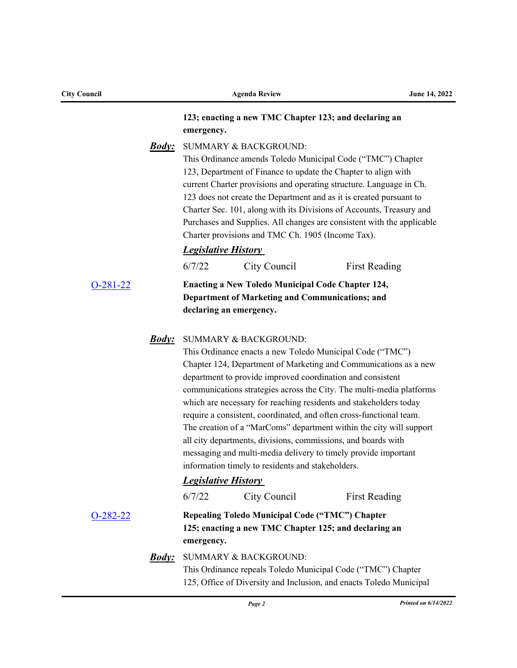| <b>City Council</b> | <b>Agenda Review</b>                                                                                                                                                                                                                                                                                                                                                                                                                                                                                                                                                                                                                                                                                                                             | June 14, 2022        |
|---------------------|--------------------------------------------------------------------------------------------------------------------------------------------------------------------------------------------------------------------------------------------------------------------------------------------------------------------------------------------------------------------------------------------------------------------------------------------------------------------------------------------------------------------------------------------------------------------------------------------------------------------------------------------------------------------------------------------------------------------------------------------------|----------------------|
|                     | 123; enacting a new TMC Chapter 123; and declaring an<br>emergency.                                                                                                                                                                                                                                                                                                                                                                                                                                                                                                                                                                                                                                                                              |                      |
| <u><b>Body:</b></u> | <b>SUMMARY &amp; BACKGROUND:</b><br>This Ordinance amends Toledo Municipal Code ("TMC") Chapter<br>123, Department of Finance to update the Chapter to align with<br>current Charter provisions and operating structure. Language in Ch.<br>123 does not create the Department and as it is created pursuant to<br>Charter Sec. 101, along with its Divisions of Accounts, Treasury and<br>Purchases and Supplies. All changes are consistent with the applicable<br>Charter provisions and TMC Ch. 1905 (Income Tax).<br><b>Legislative History</b>                                                                                                                                                                                             |                      |
|                     | 6/7/22<br>City Council                                                                                                                                                                                                                                                                                                                                                                                                                                                                                                                                                                                                                                                                                                                           | <b>First Reading</b> |
| $O-281-22$          | <b>Enacting a New Toledo Municipal Code Chapter 124,</b><br>Department of Marketing and Communications; and<br>declaring an emergency.                                                                                                                                                                                                                                                                                                                                                                                                                                                                                                                                                                                                           |                      |
| <u><b>Body:</b></u> | <b>SUMMARY &amp; BACKGROUND:</b><br>This Ordinance enacts a new Toledo Municipal Code ("TMC")<br>Chapter 124, Department of Marketing and Communications as a new<br>department to provide improved coordination and consistent<br>communications strategies across the City. The multi-media platforms<br>which are necessary for reaching residents and stakeholders today<br>require a consistent, coordinated, and often cross-functional team.<br>The creation of a "MarComs" department within the city will support<br>all city departments, divisions, commissions, and boards with<br>messaging and multi-media delivery to timely provide important<br>information timely to residents and stakeholders.<br><b>Legislative History</b> |                      |
| $O-282-22$          | City Council<br>6/7/22<br>Repealing Toledo Municipal Code ("TMC") Chapter<br>125; enacting a new TMC Chapter 125; and declaring an<br>emergency.                                                                                                                                                                                                                                                                                                                                                                                                                                                                                                                                                                                                 | <b>First Reading</b> |
| <u>Body:</u>        | <b>SUMMARY &amp; BACKGROUND:</b><br>This Ordinance repeals Toledo Municipal Code ("TMC") Chapter<br>125, Office of Diversity and Inclusion, and enacts Toledo Municipal                                                                                                                                                                                                                                                                                                                                                                                                                                                                                                                                                                          |                      |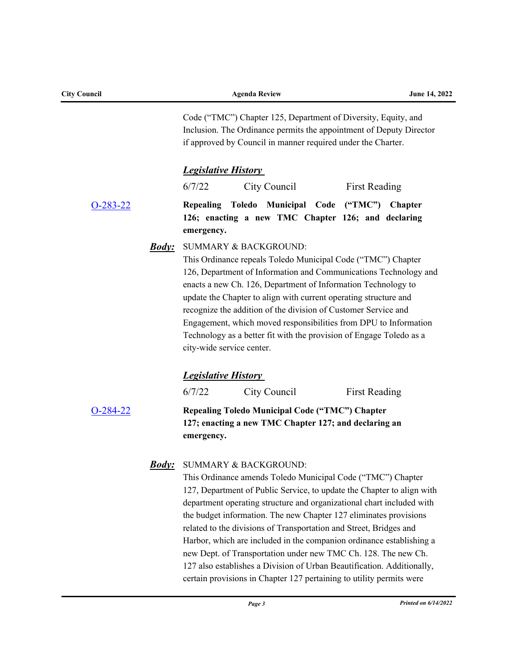| <b>City Council</b> |                     |                                                                                                                                                                                                       | <b>Agenda Review</b>                                                                                                                                                                                                                                                                                                                                                                                                                                                                                                                                                                                                                                                                      |                      | June 14, 2022 |  |
|---------------------|---------------------|-------------------------------------------------------------------------------------------------------------------------------------------------------------------------------------------------------|-------------------------------------------------------------------------------------------------------------------------------------------------------------------------------------------------------------------------------------------------------------------------------------------------------------------------------------------------------------------------------------------------------------------------------------------------------------------------------------------------------------------------------------------------------------------------------------------------------------------------------------------------------------------------------------------|----------------------|---------------|--|
|                     |                     | Code ("TMC") Chapter 125, Department of Diversity, Equity, and<br>Inclusion. The Ordinance permits the appointment of Deputy Director<br>if approved by Council in manner required under the Charter. |                                                                                                                                                                                                                                                                                                                                                                                                                                                                                                                                                                                                                                                                                           |                      |               |  |
|                     |                     | <b>Legislative History</b>                                                                                                                                                                            |                                                                                                                                                                                                                                                                                                                                                                                                                                                                                                                                                                                                                                                                                           |                      |               |  |
|                     |                     | 6/7/22                                                                                                                                                                                                | City Council                                                                                                                                                                                                                                                                                                                                                                                                                                                                                                                                                                                                                                                                              | <b>First Reading</b> |               |  |
| $O-283-22$          |                     | emergency.                                                                                                                                                                                            | Repealing Toledo Municipal Code ("TMC") Chapter<br>126; enacting a new TMC Chapter 126; and declaring                                                                                                                                                                                                                                                                                                                                                                                                                                                                                                                                                                                     |                      |               |  |
|                     | <u><b>Body:</b></u> | city-wide service center.                                                                                                                                                                             | <b>SUMMARY &amp; BACKGROUND:</b><br>This Ordinance repeals Toledo Municipal Code ("TMC") Chapter<br>126, Department of Information and Communications Technology and<br>enacts a new Ch. 126, Department of Information Technology to<br>update the Chapter to align with current operating structure and<br>recognize the addition of the division of Customer Service and<br>Engagement, which moved responsibilities from DPU to Information<br>Technology as a better fit with the provision of Engage Toledo as a                                                                                                                                                                    |                      |               |  |
|                     |                     | <b>Legislative History</b>                                                                                                                                                                            |                                                                                                                                                                                                                                                                                                                                                                                                                                                                                                                                                                                                                                                                                           |                      |               |  |
|                     |                     | 6/7/22                                                                                                                                                                                                | City Council                                                                                                                                                                                                                                                                                                                                                                                                                                                                                                                                                                                                                                                                              | <b>First Reading</b> |               |  |
| $O-284-22$          |                     | emergency.                                                                                                                                                                                            | Repealing Toledo Municipal Code ("TMC") Chapter<br>127; enacting a new TMC Chapter 127; and declaring an                                                                                                                                                                                                                                                                                                                                                                                                                                                                                                                                                                                  |                      |               |  |
|                     | <u>Body:</u>        |                                                                                                                                                                                                       | <b>SUMMARY &amp; BACKGROUND:</b><br>This Ordinance amends Toledo Municipal Code ("TMC") Chapter<br>127, Department of Public Service, to update the Chapter to align with<br>department operating structure and organizational chart included with<br>the budget information. The new Chapter 127 eliminates provisions<br>related to the divisions of Transportation and Street, Bridges and<br>Harbor, which are included in the companion ordinance establishing a<br>new Dept. of Transportation under new TMC Ch. 128. The new Ch.<br>127 also establishes a Division of Urban Beautification. Additionally,<br>certain provisions in Chapter 127 pertaining to utility permits were |                      |               |  |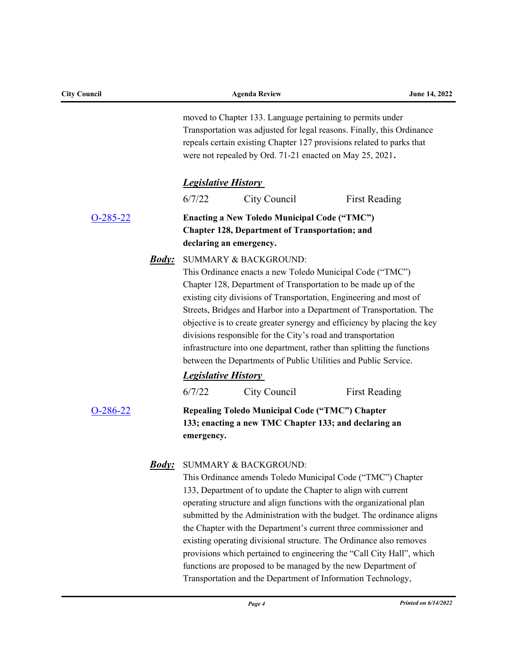| <b>City Council</b> |                                                                                                                                         | <b>Agenda Review</b>                                                                                                                                                 | June 14, 2022                                                                                                                                                                                                                                                                                                                                                                                                                                                                                     |
|---------------------|-----------------------------------------------------------------------------------------------------------------------------------------|----------------------------------------------------------------------------------------------------------------------------------------------------------------------|---------------------------------------------------------------------------------------------------------------------------------------------------------------------------------------------------------------------------------------------------------------------------------------------------------------------------------------------------------------------------------------------------------------------------------------------------------------------------------------------------|
|                     |                                                                                                                                         | moved to Chapter 133. Language pertaining to permits under<br>were not repealed by Ord. 71-21 enacted on May 25, 2021.                                               | Transportation was adjusted for legal reasons. Finally, this Ordinance<br>repeals certain existing Chapter 127 provisions related to parks that                                                                                                                                                                                                                                                                                                                                                   |
|                     | <b>Legislative History</b>                                                                                                              |                                                                                                                                                                      |                                                                                                                                                                                                                                                                                                                                                                                                                                                                                                   |
|                     | 6/7/22                                                                                                                                  | City Council                                                                                                                                                         | <b>First Reading</b>                                                                                                                                                                                                                                                                                                                                                                                                                                                                              |
| $O-285-22$          | <b>Enacting a New Toledo Municipal Code ("TMC")</b><br><b>Chapter 128, Department of Transportation; and</b><br>declaring an emergency. |                                                                                                                                                                      |                                                                                                                                                                                                                                                                                                                                                                                                                                                                                                   |
|                     | <b>Body:</b>                                                                                                                            | <b>SUMMARY &amp; BACKGROUND:</b><br>This Ordinance enacts a new Toledo Municipal Code ("TMC")<br>divisions responsible for the City's road and transportation        | Chapter 128, Department of Transportation to be made up of the<br>existing city divisions of Transportation, Engineering and most of<br>Streets, Bridges and Harbor into a Department of Transportation. The<br>objective is to create greater synergy and efficiency by placing the key<br>infrastructure into one department, rather than splitting the functions<br>between the Departments of Public Utilities and Public Service.                                                            |
|                     | <b>Legislative History</b>                                                                                                              |                                                                                                                                                                      |                                                                                                                                                                                                                                                                                                                                                                                                                                                                                                   |
|                     | 6/7/22                                                                                                                                  | City Council                                                                                                                                                         | <b>First Reading</b>                                                                                                                                                                                                                                                                                                                                                                                                                                                                              |
| $O-286-22$          | emergency.                                                                                                                              | Repealing Toledo Municipal Code ("TMC") Chapter<br>133; enacting a new TMC Chapter 133; and declaring an                                                             |                                                                                                                                                                                                                                                                                                                                                                                                                                                                                                   |
|                     |                                                                                                                                         | <b>Body:</b> SUMMARY & BACKGROUND:<br>133, Department of to update the Chapter to align with current<br>Transportation and the Department of Information Technology, | This Ordinance amends Toledo Municipal Code ("TMC") Chapter<br>operating structure and align functions with the organizational plan<br>submitted by the Administration with the budget. The ordinance aligns<br>the Chapter with the Department's current three commissioner and<br>existing operating divisional structure. The Ordinance also removes<br>provisions which pertained to engineering the "Call City Hall", which<br>functions are proposed to be managed by the new Department of |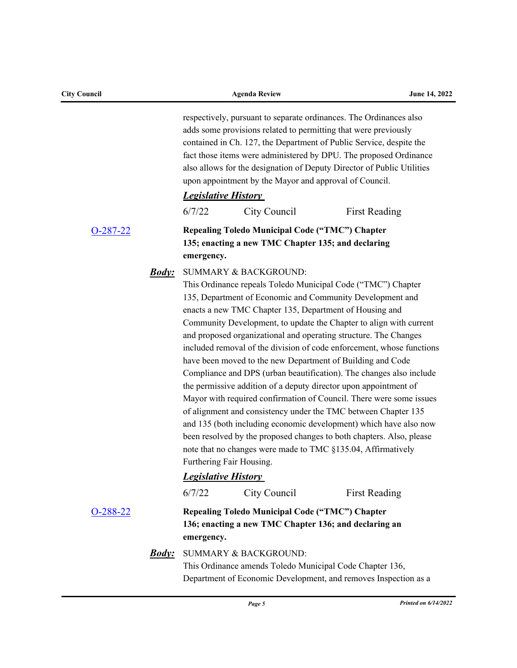| <b>City Council</b> |               |            | <b>Agenda Review</b>                                                                                                    | June 14, 2022                                                                                                                                                                                                                                                                                                                                                                                                                                                                                                                                                                                                                                                                                                                                                                                                                                                                                               |
|---------------------|---------------|------------|-------------------------------------------------------------------------------------------------------------------------|-------------------------------------------------------------------------------------------------------------------------------------------------------------------------------------------------------------------------------------------------------------------------------------------------------------------------------------------------------------------------------------------------------------------------------------------------------------------------------------------------------------------------------------------------------------------------------------------------------------------------------------------------------------------------------------------------------------------------------------------------------------------------------------------------------------------------------------------------------------------------------------------------------------|
|                     |               |            | upon appointment by the Mayor and approval of Council.                                                                  | respectively, pursuant to separate ordinances. The Ordinances also<br>adds some provisions related to permitting that were previously<br>contained in Ch. 127, the Department of Public Service, despite the<br>fact those items were administered by DPU. The proposed Ordinance<br>also allows for the designation of Deputy Director of Public Utilities                                                                                                                                                                                                                                                                                                                                                                                                                                                                                                                                                 |
|                     |               |            | <b>Legislative History</b>                                                                                              |                                                                                                                                                                                                                                                                                                                                                                                                                                                                                                                                                                                                                                                                                                                                                                                                                                                                                                             |
|                     |               | 6/7/22     | City Council                                                                                                            | <b>First Reading</b>                                                                                                                                                                                                                                                                                                                                                                                                                                                                                                                                                                                                                                                                                                                                                                                                                                                                                        |
| $O-287-22$          |               | emergency. | Repealing Toledo Municipal Code ("TMC") Chapter<br>135; enacting a new TMC Chapter 135; and declaring                   |                                                                                                                                                                                                                                                                                                                                                                                                                                                                                                                                                                                                                                                                                                                                                                                                                                                                                                             |
|                     | <b>Body</b> : |            | <b>SUMMARY &amp; BACKGROUND:</b><br>enacts a new TMC Chapter 135, Department of Housing and<br>Furthering Fair Housing. | This Ordinance repeals Toledo Municipal Code ("TMC") Chapter<br>135, Department of Economic and Community Development and<br>Community Development, to update the Chapter to align with current<br>and proposed organizational and operating structure. The Changes<br>included removal of the division of code enforcement, whose functions<br>have been moved to the new Department of Building and Code<br>Compliance and DPS (urban beautification). The changes also include<br>the permissive addition of a deputy director upon appointment of<br>Mayor with required confirmation of Council. There were some issues<br>of alignment and consistency under the TMC between Chapter 135<br>and 135 (both including economic development) which have also now<br>been resolved by the proposed changes to both chapters. Also, please<br>note that no changes were made to TMC §135.04, Affirmatively |
|                     |               |            | <b>Legislative History</b>                                                                                              |                                                                                                                                                                                                                                                                                                                                                                                                                                                                                                                                                                                                                                                                                                                                                                                                                                                                                                             |
|                     |               | 6/7/22     | City Council                                                                                                            | <b>First Reading</b>                                                                                                                                                                                                                                                                                                                                                                                                                                                                                                                                                                                                                                                                                                                                                                                                                                                                                        |
| O-288-22            |               | emergency. | Repealing Toledo Municipal Code ("TMC") Chapter<br>136; enacting a new TMC Chapter 136; and declaring an                |                                                                                                                                                                                                                                                                                                                                                                                                                                                                                                                                                                                                                                                                                                                                                                                                                                                                                                             |
|                     | <u>Body:</u>  |            | <b>SUMMARY &amp; BACKGROUND:</b><br>This Ordinance amends Toledo Municipal Code Chapter 136,                            | Department of Economic Development, and removes Inspection as a                                                                                                                                                                                                                                                                                                                                                                                                                                                                                                                                                                                                                                                                                                                                                                                                                                             |

*Page 5 Printed on 6/14/2022*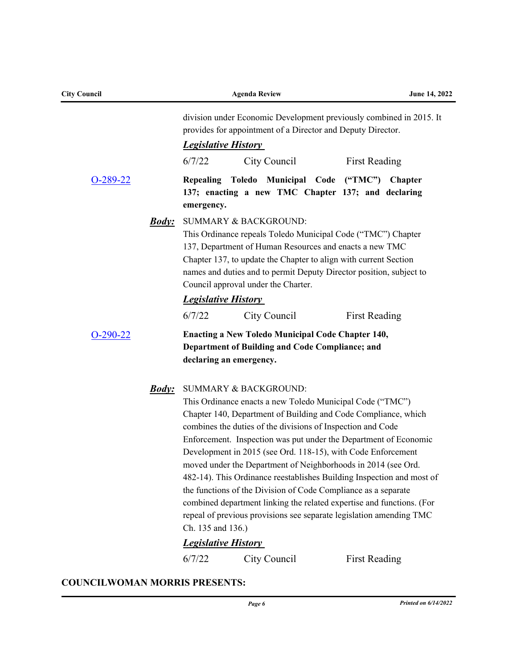| division under Economic Development previously combined in 2015. It<br>provides for appointment of a Director and Deputy Director.<br><b>Legislative History</b><br>6/7/22<br>City Council<br><b>First Reading</b><br>Repealing Toledo Municipal Code ("TMC") Chapter<br>$O-289-22$<br>137; enacting a new TMC Chapter 137; and declaring<br>emergency.<br><b>SUMMARY &amp; BACKGROUND:</b><br><u><b>Body:</b></u><br>This Ordinance repeals Toledo Municipal Code ("TMC") Chapter<br>137, Department of Human Resources and enacts a new TMC<br>Chapter 137, to update the Chapter to align with current Section<br>names and duties and to permit Deputy Director position, subject to<br>Council approval under the Charter.<br><b>Legislative History</b><br>6/7/22<br>City Council<br><b>First Reading</b><br><b>Enacting a New Toledo Municipal Code Chapter 140,</b><br>$O-290-22$<br>Department of Building and Code Compliance; and<br>declaring an emergency.<br><b>SUMMARY &amp; BACKGROUND:</b><br><u><i>Body:</i></u><br>This Ordinance enacts a new Toledo Municipal Code ("TMC")<br>Chapter 140, Department of Building and Code Compliance, which<br>combines the duties of the divisions of Inspection and Code<br>Enforcement. Inspection was put under the Department of Economic<br>Development in 2015 (see Ord. 118-15), with Code Enforcement<br>moved under the Department of Neighborhoods in 2014 (see Ord.<br>482-14). This Ordinance reestablishes Building Inspection and most of<br>the functions of the Division of Code Compliance as a separate<br>combined department linking the related expertise and functions. (For<br>repeal of previous provisions see separate legislation amending TMC<br>Ch. 135 and 136.) | <b>City Council</b> | <b>Agenda Review</b> | June 14, 2022 |
|-------------------------------------------------------------------------------------------------------------------------------------------------------------------------------------------------------------------------------------------------------------------------------------------------------------------------------------------------------------------------------------------------------------------------------------------------------------------------------------------------------------------------------------------------------------------------------------------------------------------------------------------------------------------------------------------------------------------------------------------------------------------------------------------------------------------------------------------------------------------------------------------------------------------------------------------------------------------------------------------------------------------------------------------------------------------------------------------------------------------------------------------------------------------------------------------------------------------------------------------------------------------------------------------------------------------------------------------------------------------------------------------------------------------------------------------------------------------------------------------------------------------------------------------------------------------------------------------------------------------------------------------------------------------------------------------------------------------------------------------------------|---------------------|----------------------|---------------|
|                                                                                                                                                                                                                                                                                                                                                                                                                                                                                                                                                                                                                                                                                                                                                                                                                                                                                                                                                                                                                                                                                                                                                                                                                                                                                                                                                                                                                                                                                                                                                                                                                                                                                                                                                       |                     |                      |               |
|                                                                                                                                                                                                                                                                                                                                                                                                                                                                                                                                                                                                                                                                                                                                                                                                                                                                                                                                                                                                                                                                                                                                                                                                                                                                                                                                                                                                                                                                                                                                                                                                                                                                                                                                                       |                     |                      |               |
|                                                                                                                                                                                                                                                                                                                                                                                                                                                                                                                                                                                                                                                                                                                                                                                                                                                                                                                                                                                                                                                                                                                                                                                                                                                                                                                                                                                                                                                                                                                                                                                                                                                                                                                                                       |                     |                      |               |
|                                                                                                                                                                                                                                                                                                                                                                                                                                                                                                                                                                                                                                                                                                                                                                                                                                                                                                                                                                                                                                                                                                                                                                                                                                                                                                                                                                                                                                                                                                                                                                                                                                                                                                                                                       |                     |                      |               |
|                                                                                                                                                                                                                                                                                                                                                                                                                                                                                                                                                                                                                                                                                                                                                                                                                                                                                                                                                                                                                                                                                                                                                                                                                                                                                                                                                                                                                                                                                                                                                                                                                                                                                                                                                       |                     |                      |               |
|                                                                                                                                                                                                                                                                                                                                                                                                                                                                                                                                                                                                                                                                                                                                                                                                                                                                                                                                                                                                                                                                                                                                                                                                                                                                                                                                                                                                                                                                                                                                                                                                                                                                                                                                                       |                     |                      |               |
|                                                                                                                                                                                                                                                                                                                                                                                                                                                                                                                                                                                                                                                                                                                                                                                                                                                                                                                                                                                                                                                                                                                                                                                                                                                                                                                                                                                                                                                                                                                                                                                                                                                                                                                                                       |                     |                      |               |
| <b>Legislative History</b><br>6/7/22<br>City Council<br><b>First Reading</b>                                                                                                                                                                                                                                                                                                                                                                                                                                                                                                                                                                                                                                                                                                                                                                                                                                                                                                                                                                                                                                                                                                                                                                                                                                                                                                                                                                                                                                                                                                                                                                                                                                                                          |                     |                      |               |

# **COUNCILWOMAN MORRIS PRESENTS:**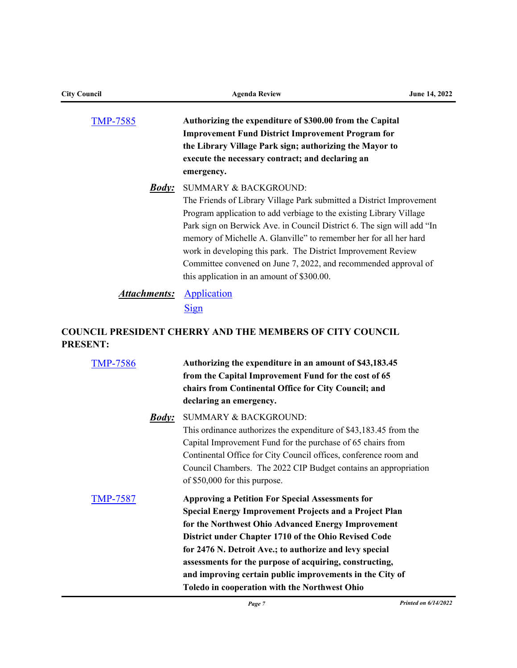| <b>City Council</b> | <b>Agenda Review</b>                                                                                                                                                                                                                                                                                                                                                                                                                                                                                             | June 14, 2022 |
|---------------------|------------------------------------------------------------------------------------------------------------------------------------------------------------------------------------------------------------------------------------------------------------------------------------------------------------------------------------------------------------------------------------------------------------------------------------------------------------------------------------------------------------------|---------------|
| <b>TMP-7585</b>     | Authorizing the expenditure of \$300.00 from the Capital<br><b>Improvement Fund District Improvement Program for</b><br>the Library Village Park sign; authorizing the Mayor to<br>execute the necessary contract; and declaring an<br>emergency.                                                                                                                                                                                                                                                                |               |
| <b>Body</b> :       | <b>SUMMARY &amp; BACKGROUND:</b><br>The Friends of Library Village Park submitted a District Improvement<br>Program application to add verbiage to the existing Library Village<br>Park sign on Berwick Ave. in Council District 6. The sign will add "In<br>memory of Michelle A. Glanville" to remember her for all her hard<br>work in developing this park. The District Improvement Review<br>Committee convened on June 7, 2022, and recommended approval of<br>this application in an amount of \$300.00. |               |
| <b>Attachments:</b> | Application<br><b>Sign</b>                                                                                                                                                                                                                                                                                                                                                                                                                                                                                       |               |
| <b>PRESENT:</b>     | <b>COUNCIL PRESIDENT CHERRY AND THE MEMBERS OF CITY COUNCIL</b>                                                                                                                                                                                                                                                                                                                                                                                                                                                  |               |
| <b>TMP-7586</b>     | Authorizing the expenditure in an amount of \$43,183.45<br>from the Capital Improvement Fund for the cost of 65<br>chairs from Continental Office for City Council; and<br>declaring an emergency.                                                                                                                                                                                                                                                                                                               |               |
| <b>Body</b> :       | <b>SUMMARY &amp; BACKGROUND:</b><br>This ordinance authorizes the expenditure of \$43,183.45 from the<br>Capital Improvement Fund for the purchase of 65 chairs from<br>Continental Office for City Council offices, conference room and<br>Council Chambers. The 2022 CIP Budget contains an appropriation<br>of \$50,000 for this purpose.                                                                                                                                                                     |               |
| <b>TMP-7587</b>     | <b>Approving a Petition For Special Assessments for</b><br><b>Special Energy Improvement Projects and a Project Plan</b><br>for the Northwest Ohio Advanced Energy Improvement<br>District under Chapter 1710 of the Ohio Revised Code<br>for 2476 N. Detroit Ave.; to authorize and levy special<br>assessments for the purpose of acquiring, constructing,<br>and improving certain public improvements in the City of<br>Toledo in cooperation with the Northwest Ohio                                        |               |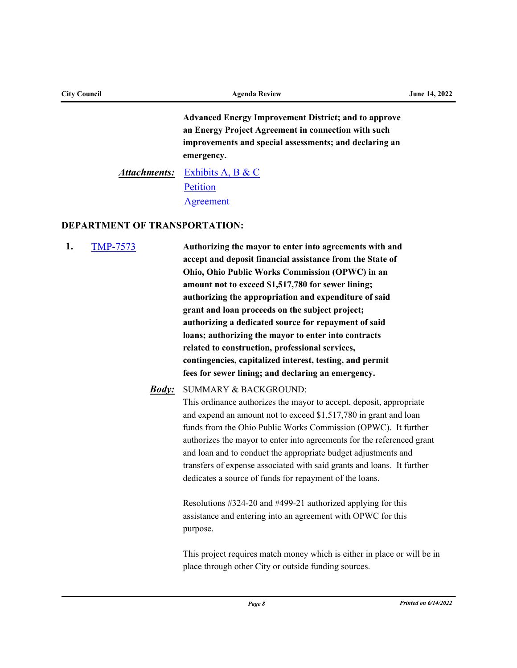| <b>City Council</b> |                                      | <b>Agenda Review</b>                                                                                                                                                                       | <b>June 14, 2022</b> |
|---------------------|--------------------------------------|--------------------------------------------------------------------------------------------------------------------------------------------------------------------------------------------|----------------------|
|                     |                                      | <b>Advanced Energy Improvement District; and to approve</b><br>an Energy Project Agreement in connection with such<br>improvements and special assessments; and declaring an<br>emergency. |                      |
|                     | <b>Attachments:</b>                  | Exhibits A, B & C<br>Petition<br>Agreement                                                                                                                                                 |                      |
|                     | <b>DEPARTMENT OF TRANSPORTATION:</b> |                                                                                                                                                                                            |                      |
| 1.                  | <b>TMP-7573</b>                      | Authorizing the mayor to enter into agreements with and<br>accept and deposit financial assistance from the State of                                                                       |                      |

**Ohio, Ohio Public Works Commission (OPWC) in an amount not to exceed \$1,517,780 for sewer lining; authorizing the appropriation and expenditure of said grant and loan proceeds on the subject project; authorizing a dedicated source for repayment of said loans; authorizing the mayor to enter into contracts related to construction, professional services, contingencies, capitalized interest, testing, and permit fees for sewer lining; and declaring an emergency.** 

#### SUMMARY & BACKGROUND: *Body:*

This ordinance authorizes the mayor to accept, deposit, appropriate and expend an amount not to exceed \$1,517,780 in grant and loan funds from the Ohio Public Works Commission (OPWC). It further authorizes the mayor to enter into agreements for the referenced grant and loan and to conduct the appropriate budget adjustments and transfers of expense associated with said grants and loans. It further dedicates a source of funds for repayment of the loans.

Resolutions #324-20 and #499-21 authorized applying for this assistance and entering into an agreement with OPWC for this purpose.

This project requires match money which is either in place or will be in place through other City or outside funding sources.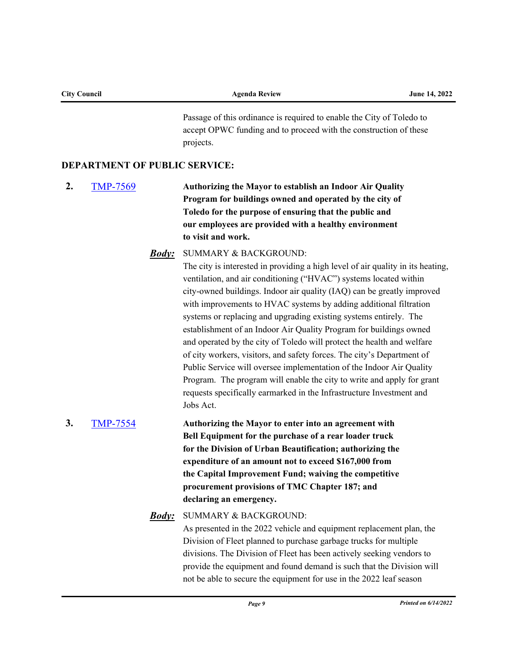| <b>City Council</b> |                                      |              | <b>Agenda Review</b>                                                                                                                                                                                                                                                                                                                                                                                                                                                                                                                                                                                                                                                                                                                                                                                                                                                          | June 14, 2022        |
|---------------------|--------------------------------------|--------------|-------------------------------------------------------------------------------------------------------------------------------------------------------------------------------------------------------------------------------------------------------------------------------------------------------------------------------------------------------------------------------------------------------------------------------------------------------------------------------------------------------------------------------------------------------------------------------------------------------------------------------------------------------------------------------------------------------------------------------------------------------------------------------------------------------------------------------------------------------------------------------|----------------------|
|                     |                                      |              | Passage of this ordinance is required to enable the City of Toledo to<br>accept OPWC funding and to proceed with the construction of these<br>projects.                                                                                                                                                                                                                                                                                                                                                                                                                                                                                                                                                                                                                                                                                                                       |                      |
|                     | <b>DEPARTMENT OF PUBLIC SERVICE:</b> |              |                                                                                                                                                                                                                                                                                                                                                                                                                                                                                                                                                                                                                                                                                                                                                                                                                                                                               |                      |
| 2.                  | <b>TMP-7569</b>                      |              | Authorizing the Mayor to establish an Indoor Air Quality<br>Program for buildings owned and operated by the city of<br>Toledo for the purpose of ensuring that the public and<br>our employees are provided with a healthy environment<br>to visit and work.                                                                                                                                                                                                                                                                                                                                                                                                                                                                                                                                                                                                                  |                      |
|                     |                                      | <u>Body:</u> | <b>SUMMARY &amp; BACKGROUND:</b><br>The city is interested in providing a high level of air quality in its heating,<br>ventilation, and air conditioning ("HVAC") systems located within<br>city-owned buildings. Indoor air quality (IAQ) can be greatly improved<br>with improvements to HVAC systems by adding additional filtration<br>systems or replacing and upgrading existing systems entirely. The<br>establishment of an Indoor Air Quality Program for buildings owned<br>and operated by the city of Toledo will protect the health and welfare<br>of city workers, visitors, and safety forces. The city's Department of<br>Public Service will oversee implementation of the Indoor Air Quality<br>Program. The program will enable the city to write and apply for grant<br>requests specifically earmarked in the Infrastructure Investment and<br>Jobs Act. |                      |
| 3.                  | <b>TMP-7554</b>                      | <u>Body:</u> | Authorizing the Mayor to enter into an agreement with<br>Bell Equipment for the purchase of a rear loader truck<br>for the Division of Urban Beautification; authorizing the<br>expenditure of an amount not to exceed \$167,000 from<br>the Capital Improvement Fund; waiving the competitive<br>procurement provisions of TMC Chapter 187; and<br>declaring an emergency.<br>SUMMARY & BACKGROUND:                                                                                                                                                                                                                                                                                                                                                                                                                                                                          |                      |
|                     |                                      |              | As presented in the 2022 vehicle and equipment replacement plan, the<br>Division of Fleet planned to purchase garbage trucks for multiple<br>divisions. The Division of Fleet has been actively seeking vendors to<br>provide the equipment and found demand is such that the Division will<br>not be able to secure the equipment for use in the 2022 leaf season                                                                                                                                                                                                                                                                                                                                                                                                                                                                                                            |                      |
|                     |                                      |              | Page 9                                                                                                                                                                                                                                                                                                                                                                                                                                                                                                                                                                                                                                                                                                                                                                                                                                                                        | Printed on 6/14/2022 |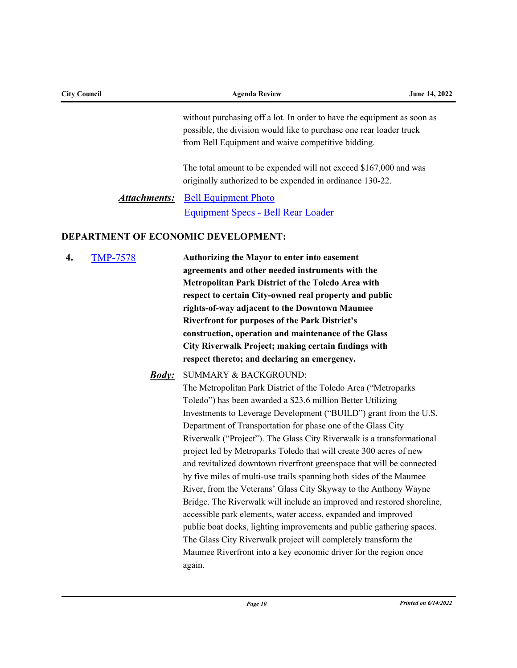| <b>City Council</b>   | <b>Agenda Review</b>                                                                                                                                                                                 | June 14, 2022 |
|-----------------------|------------------------------------------------------------------------------------------------------------------------------------------------------------------------------------------------------|---------------|
|                       | without purchasing off a lot. In order to have the equipment as soon as<br>possible, the division would like to purchase one rear loader truck<br>from Bell Equipment and waive competitive bidding. |               |
|                       | The total amount to be expended will not exceed \$167,000 and was<br>originally authorized to be expended in ordinance 130-22.                                                                       |               |
| Attachments:          | <b>Bell Equipment Photo</b><br>Equipment Specs - Bell Rear Loader                                                                                                                                    |               |
|                       | <b>DEPARTMENT OF ECONOMIC DEVELOPMENT:</b>                                                                                                                                                           |               |
| <b>TMP-7578</b><br>4. | Authorizing the Mayor to enter into easement<br>agreements and other needed instruments with the                                                                                                     |               |

**Metropolitan Park District of the Toledo Area with respect to certain City-owned real property and public rights-of-way adjacent to the Downtown Maumee Riverfront for purposes of the Park District's construction, operation and maintenance of the Glass City Riverwalk Project; making certain findings with respect thereto; and declaring an emergency.** 

SUMMARY & BACKGROUND: *Body:* The Metropolitan Park District of the Toledo Area ("Metroparks Toledo") has been awarded a \$23.6 million Better Utilizing Investments to Leverage Development ("BUILD") grant from the U.S. Department of Transportation for phase one of the Glass City Riverwalk ("Project"). The Glass City Riverwalk is a transformational project led by Metroparks Toledo that will create 300 acres of new and revitalized downtown riverfront greenspace that will be connected by five miles of multi-use trails spanning both sides of the Maumee River, from the Veterans' Glass City Skyway to the Anthony Wayne Bridge. The Riverwalk will include an improved and restored shoreline, accessible park elements, water access, expanded and improved public boat docks, lighting improvements and public gathering spaces. The Glass City Riverwalk project will completely transform the Maumee Riverfront into a key economic driver for the region once again.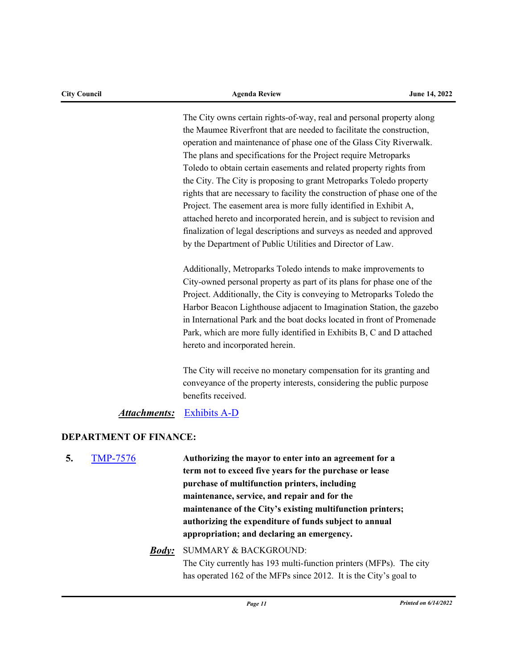The City owns certain rights-of-way, real and personal property along the Maumee Riverfront that are needed to facilitate the construction, operation and maintenance of phase one of the Glass City Riverwalk. The plans and specifications for the Project require Metroparks Toledo to obtain certain easements and related property rights from the City. The City is proposing to grant Metroparks Toledo property rights that are necessary to facility the construction of phase one of the Project. The easement area is more fully identified in Exhibit A, attached hereto and incorporated herein, and is subject to revision and finalization of legal descriptions and surveys as needed and approved by the Department of Public Utilities and Director of Law.

Additionally, Metroparks Toledo intends to make improvements to City-owned personal property as part of its plans for phase one of the Project. Additionally, the City is conveying to Metroparks Toledo the Harbor Beacon Lighthouse adjacent to Imagination Station, the gazebo in International Park and the boat docks located in front of Promenade Park, which are more fully identified in Exhibits B, C and D attached hereto and incorporated herein.

The City will receive no monetary compensation for its granting and conveyance of the property interests, considering the public purpose benefits received.

### *Attachments:* [Exhibits A-D](http://toledo.legistar.com/gateway.aspx?M=F&ID=97ea8314-af96-421e-9dec-19cd0bd1857c.pdf)

### **DEPARTMENT OF FINANCE:**

- **5.** [TMP-7576](http://toledo.legistar.com/gateway.aspx?m=l&id=/matter.aspx?key=37897) **Authorizing the mayor to enter into an agreement for a term not to exceed five years for the purchase or lease purchase of multifunction printers, including maintenance, service, and repair and for the maintenance of the City's existing multifunction printers; authorizing the expenditure of funds subject to annual appropriation; and declaring an emergency.**
	- SUMMARY & BACKGROUND: *Body:* The City currently has 193 multi-function printers (MFPs). The city has operated 162 of the MFPs since 2012. It is the City's goal to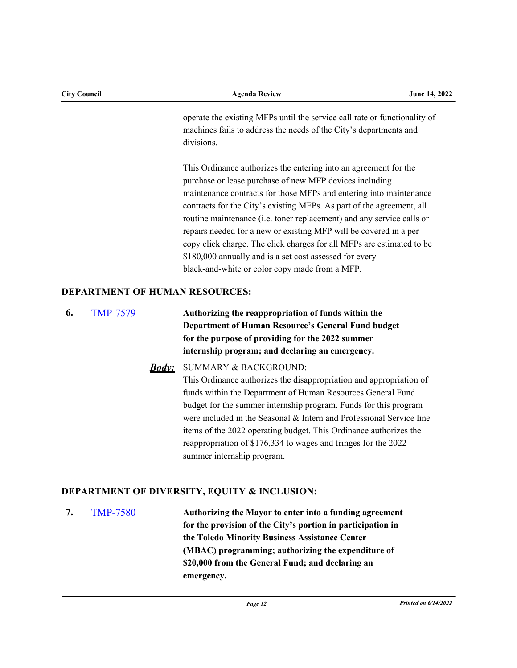| <b>City Council</b> | <b>Agenda Review</b>                                                      | June 14, 2022 |
|---------------------|---------------------------------------------------------------------------|---------------|
|                     | operate the existing MFPs until the service call rate or functionality of |               |
|                     | machines fails to address the needs of the City's departments and         |               |
|                     | divisions.                                                                |               |
|                     | This Ordinance authorizes the entering into an agreement for the          |               |
|                     | purchase or lease purchase of new MFP devices including                   |               |
|                     | maintenance contracts for those MFPs and entering into maintenance        |               |
|                     | contracts for the City's existing MFPs. As part of the agreement, all     |               |
|                     | routine maintenance (i.e. toner replacement) and any service calls or     |               |
|                     | repairs needed for a new or existing MFP will be covered in a per         |               |
|                     | copy click charge. The click charges for all MFPs are estimated to be     |               |
|                     | \$180,000 annually and is a set cost assessed for every                   |               |
|                     | black-and-white or color copy made from a MFP.                            |               |

## **DEPARTMENT OF HUMAN RESOURCES:**

- **6.** [TMP-7579](http://toledo.legistar.com/gateway.aspx?m=l&id=/matter.aspx?key=37902) **Authorizing the reappropriation of funds within the Department of Human Resource's General Fund budget for the purpose of providing for the 2022 summer internship program; and declaring an emergency.** 
	- SUMMARY & BACKGROUND: *Body:* This Ordinance authorizes the disappropriation and appropriation of funds within the Department of Human Resources General Fund budget for the summer internship program. Funds for this program were included in the Seasonal & Intern and Professional Service line items of the 2022 operating budget. This Ordinance authorizes the reappropriation of \$176,334 to wages and fringes for the 2022 summer internship program.

# **DEPARTMENT OF DIVERSITY, EQUITY & INCLUSION:**

**7.** [TMP-7580](http://toledo.legistar.com/gateway.aspx?m=l&id=/matter.aspx?key=37903) **Authorizing the Mayor to enter into a funding agreement for the provision of the City's portion in participation in the Toledo Minority Business Assistance Center (MBAC) programming; authorizing the expenditure of \$20,000 from the General Fund; and declaring an emergency.**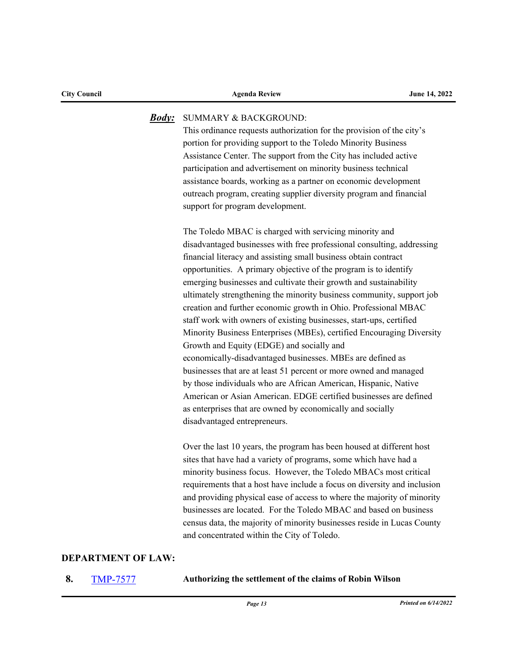#### SUMMARY & BACKGROUND: *Body:*

This ordinance requests authorization for the provision of the city's portion for providing support to the Toledo Minority Business Assistance Center. The support from the City has included active participation and advertisement on minority business technical assistance boards, working as a partner on economic development outreach program, creating supplier diversity program and financial support for program development.

The Toledo MBAC is charged with servicing minority and disadvantaged businesses with free professional consulting, addressing financial literacy and assisting small business obtain contract opportunities. A primary objective of the program is to identify emerging businesses and cultivate their growth and sustainability ultimately strengthening the minority business community, support job creation and further economic growth in Ohio. Professional MBAC staff work with owners of existing businesses, start-ups, certified Minority Business Enterprises (MBEs), certified Encouraging Diversity Growth and Equity (EDGE) and socially and economically-disadvantaged businesses. MBEs are defined as businesses that are at least 51 percent or more owned and managed by those individuals who are African American, Hispanic, Native American or Asian American. EDGE certified businesses are defined as enterprises that are owned by economically and socially disadvantaged entrepreneurs.

Over the last 10 years, the program has been housed at different host sites that have had a variety of programs, some which have had a minority business focus. However, the Toledo MBACs most critical requirements that a host have include a focus on diversity and inclusion and providing physical ease of access to where the majority of minority businesses are located. For the Toledo MBAC and based on business census data, the majority of minority businesses reside in Lucas County and concentrated within the City of Toledo.

### **DEPARTMENT OF LAW:**

**8.** [TMP-7577](http://toledo.legistar.com/gateway.aspx?m=l&id=/matter.aspx?key=37898) **Authorizing the settlement of the claims of Robin Wilson**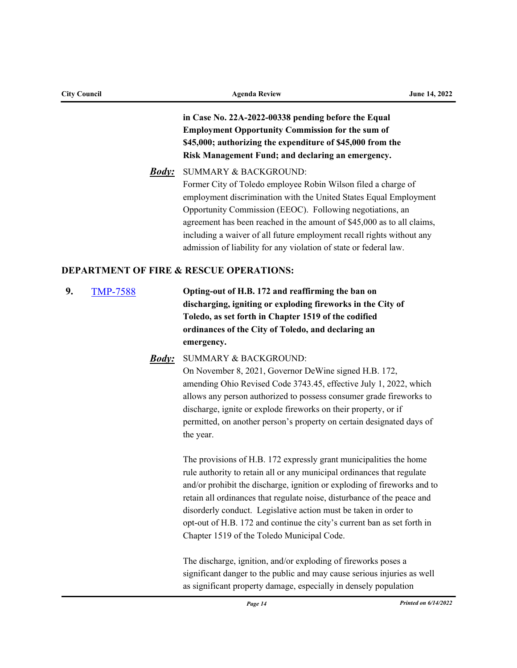| <b>City Council</b>   |                     | <b>Agenda Review</b>                                                                                                                                                                                                                                                                                                                                                                                                                                                                             | June 14, 2022 |
|-----------------------|---------------------|--------------------------------------------------------------------------------------------------------------------------------------------------------------------------------------------------------------------------------------------------------------------------------------------------------------------------------------------------------------------------------------------------------------------------------------------------------------------------------------------------|---------------|
|                       |                     | in Case No. 22A-2022-00338 pending before the Equal<br><b>Employment Opportunity Commission for the sum of</b><br>\$45,000; authorizing the expenditure of \$45,000 from the<br>Risk Management Fund; and declaring an emergency.                                                                                                                                                                                                                                                                |               |
|                       | <b>Body</b> :       | <b>SUMMARY &amp; BACKGROUND:</b><br>Former City of Toledo employee Robin Wilson filed a charge of<br>employment discrimination with the United States Equal Employment<br>Opportunity Commission (EEOC). Following negotiations, an<br>agreement has been reached in the amount of \$45,000 as to all claims,<br>including a waiver of all future employment recall rights without any<br>admission of liability for any violation of state or federal law.                                      |               |
|                       |                     | <b>DEPARTMENT OF FIRE &amp; RESCUE OPERATIONS:</b>                                                                                                                                                                                                                                                                                                                                                                                                                                               |               |
| 9.<br><b>TMP-7588</b> |                     | Opting-out of H.B. 172 and reaffirming the ban on<br>discharging, igniting or exploding fireworks in the City of<br>Toledo, as set forth in Chapter 1519 of the codified<br>ordinances of the City of Toledo, and declaring an<br>emergency.                                                                                                                                                                                                                                                     |               |
|                       | <u><b>Body:</b></u> | <b>SUMMARY &amp; BACKGROUND:</b><br>On November 8, 2021, Governor DeWine signed H.B. 172,<br>amending Ohio Revised Code 3743.45, effective July 1, 2022, which<br>allows any person authorized to possess consumer grade fireworks to<br>discharge, ignite or explode fireworks on their property, or if<br>permitted, on another person's property on certain designated days of<br>the year.                                                                                                   |               |
|                       |                     | The provisions of H.B. 172 expressly grant municipalities the home<br>rule authority to retain all or any municipal ordinances that regulate<br>and/or prohibit the discharge, ignition or exploding of fireworks and to<br>retain all ordinances that regulate noise, disturbance of the peace and<br>disorderly conduct. Legislative action must be taken in order to<br>opt-out of H.B. 172 and continue the city's current ban as set forth in<br>Chapter 1519 of the Toledo Municipal Code. |               |
|                       |                     | The discharge ignition and/or evaluating of financels notes a                                                                                                                                                                                                                                                                                                                                                                                                                                    |               |

The discharge, ignition, and/or exploding of fireworks poses a significant danger to the public and may cause serious injuries as well as significant property damage, especially in densely population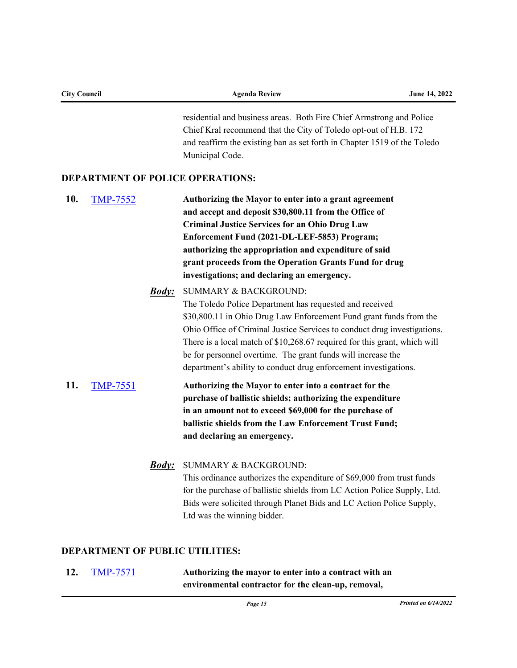| <b>City Council</b>                                              | <b>Agenda Review</b>                                                     | <b>June 14, 2022</b> |
|------------------------------------------------------------------|--------------------------------------------------------------------------|----------------------|
|                                                                  | residential and business areas. Both Fire Chief Armstrong and Police     |                      |
| Chief Kral recommend that the City of Toledo opt-out of H.B. 172 |                                                                          |                      |
|                                                                  | and reaffirm the existing ban as set forth in Chapter 1519 of the Toledo |                      |
|                                                                  | Municipal Code.                                                          |                      |

### **DEPARTMENT OF POLICE OPERATIONS:**

**10.** [TMP-7552](http://toledo.legistar.com/gateway.aspx?m=l&id=/matter.aspx?key=37873) **Authorizing the Mayor to enter into a grant agreement and accept and deposit \$30,800.11 from the Office of Criminal Justice Services for an Ohio Drug Law Enforcement Fund (2021-DL-LEF-5853) Program; authorizing the appropriation and expenditure of said grant proceeds from the Operation Grants Fund for drug investigations; and declaring an emergency.** 

> SUMMARY & BACKGROUND: *Body:* The Toledo Police Department has requested and received \$30,800.11 in Ohio Drug Law Enforcement Fund grant funds from the Ohio Office of Criminal Justice Services to conduct drug investigations. There is a local match of \$10,268.67 required for this grant, which will be for personnel overtime. The grant funds will increase the department's ability to conduct drug enforcement investigations.

- **11.** [TMP-7551](http://toledo.legistar.com/gateway.aspx?m=l&id=/matter.aspx?key=37872) **Authorizing the Mayor to enter into a contract for the purchase of ballistic shields; authorizing the expenditure in an amount not to exceed \$69,000 for the purchase of ballistic shields from the Law Enforcement Trust Fund; and declaring an emergency.**
	- SUMMARY & BACKGROUND: *Body:* This ordinance authorizes the expenditure of \$69,000 from trust funds for the purchase of ballistic shields from LC Action Police Supply, Ltd. Bids were solicited through Planet Bids and LC Action Police Supply, Ltd was the winning bidder.

### **DEPARTMENT OF PUBLIC UTILITIES:**

**12.** [TMP-7571](http://toledo.legistar.com/gateway.aspx?m=l&id=/matter.aspx?key=37892) **Authorizing the mayor to enter into a contract with an environmental contractor for the clean-up, removal,**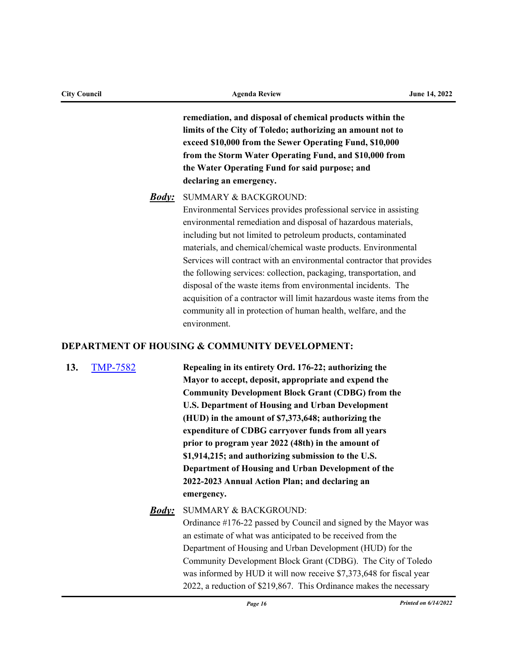**remediation, and disposal of chemical products within the limits of the City of Toledo; authorizing an amount not to exceed \$10,000 from the Sewer Operating Fund, \$10,000** 

> **from the Storm Water Operating Fund, and \$10,000 from the Water Operating Fund for said purpose; and declaring an emergency.**

### SUMMARY & BACKGROUND: *Body:*

Environmental Services provides professional service in assisting environmental remediation and disposal of hazardous materials, including but not limited to petroleum products, contaminated materials, and chemical/chemical waste products. Environmental Services will contract with an environmental contractor that provides the following services: collection, packaging, transportation, and disposal of the waste items from environmental incidents. The acquisition of a contractor will limit hazardous waste items from the community all in protection of human health, welfare, and the environment.

### **DEPARTMENT OF HOUSING & COMMUNITY DEVELOPMENT:**

**13.** [TMP-7582](http://toledo.legistar.com/gateway.aspx?m=l&id=/matter.aspx?key=37905) **Repealing in its entirety Ord. 176-22; authorizing the Mayor to accept, deposit, appropriate and expend the Community Development Block Grant (CDBG) from the U.S. Department of Housing and Urban Development (HUD) in the amount of \$7,373,648; authorizing the expenditure of CDBG carryover funds from all years prior to program year 2022 (48th) in the amount of \$1,914,215; and authorizing submission to the U.S. Department of Housing and Urban Development of the 2022-2023 Annual Action Plan; and declaring an emergency.**

> SUMMARY & BACKGROUND: Ordinance #176-22 passed by Council and signed by the Mayor was an estimate of what was anticipated to be received from the Department of Housing and Urban Development (HUD) for the Community Development Block Grant (CDBG). The City of Toledo was informed by HUD it will now receive \$7,373,648 for fiscal year 2022, a reduction of \$219,867. This Ordinance makes the necessary *Body:*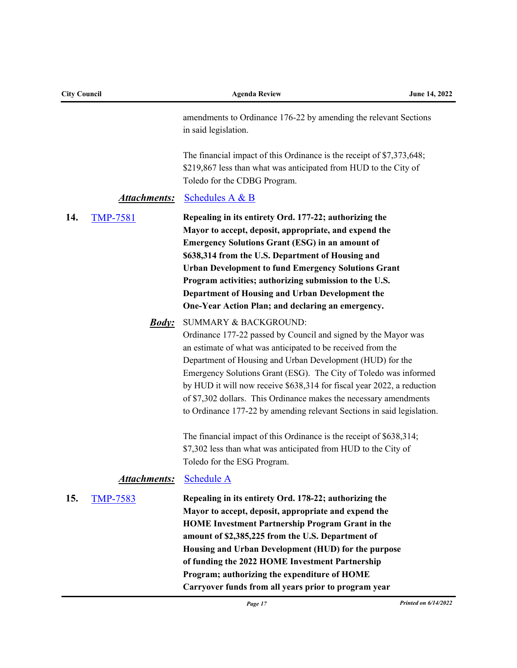| <b>City Council</b> |                     | <b>Agenda Review</b>                                                                                                                                                                                                                                                                                                                                                                                                                                                                                             | June 14, 2022 |
|---------------------|---------------------|------------------------------------------------------------------------------------------------------------------------------------------------------------------------------------------------------------------------------------------------------------------------------------------------------------------------------------------------------------------------------------------------------------------------------------------------------------------------------------------------------------------|---------------|
|                     |                     | amendments to Ordinance 176-22 by amending the relevant Sections<br>in said legislation.                                                                                                                                                                                                                                                                                                                                                                                                                         |               |
|                     |                     | The financial impact of this Ordinance is the receipt of \$7,373,648;<br>\$219,867 less than what was anticipated from HUD to the City of<br>Toledo for the CDBG Program.                                                                                                                                                                                                                                                                                                                                        |               |
|                     | <u>Attachments:</u> | Schedules A & B                                                                                                                                                                                                                                                                                                                                                                                                                                                                                                  |               |
| 14.                 | <b>TMP-7581</b>     | Repealing in its entirety Ord. 177-22; authorizing the<br>Mayor to accept, deposit, appropriate, and expend the<br><b>Emergency Solutions Grant (ESG) in an amount of</b><br>\$638,314 from the U.S. Department of Housing and<br><b>Urban Development to fund Emergency Solutions Grant</b><br>Program activities; authorizing submission to the U.S.<br>Department of Housing and Urban Development the<br>One-Year Action Plan; and declaring an emergency.                                                   |               |
|                     | <u><b>Body:</b></u> | SUMMARY & BACKGROUND:<br>Ordinance 177-22 passed by Council and signed by the Mayor was<br>an estimate of what was anticipated to be received from the<br>Department of Housing and Urban Development (HUD) for the<br>Emergency Solutions Grant (ESG). The City of Toledo was informed<br>by HUD it will now receive \$638,314 for fiscal year 2022, a reduction<br>of \$7,302 dollars. This Ordinance makes the necessary amendments<br>to Ordinance 177-22 by amending relevant Sections in said legislation. |               |
|                     |                     | The financial impact of this Ordinance is the receipt of \$638,314;<br>\$7,302 less than what was anticipated from HUD to the City of<br>Toledo for the ESG Program.                                                                                                                                                                                                                                                                                                                                             |               |
|                     | <b>Attachments:</b> | <b>Schedule A</b>                                                                                                                                                                                                                                                                                                                                                                                                                                                                                                |               |
| 15.                 | <b>TMP-7583</b>     | Repealing in its entirety Ord. 178-22; authorizing the<br>Mayor to accept, deposit, appropriate and expend the<br><b>HOME Investment Partnership Program Grant in the</b><br>amount of \$2,385,225 from the U.S. Department of<br>Housing and Urban Development (HUD) for the purpose<br>of funding the 2022 HOME Investment Partnership<br>Program; authorizing the expenditure of HOME<br>Carryover funds from all years prior to program year                                                                 |               |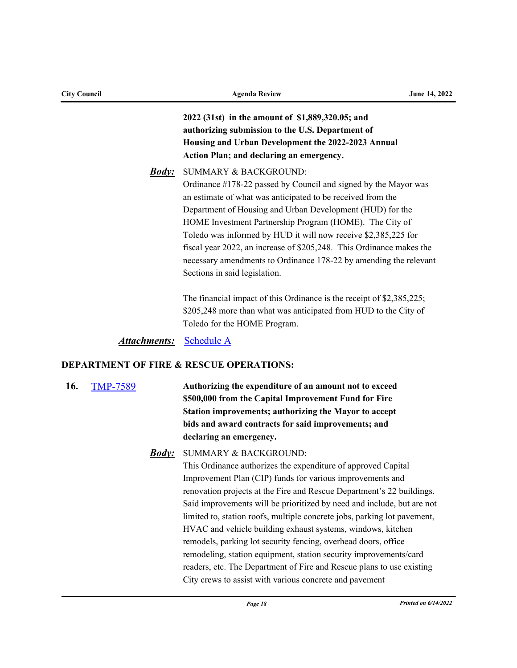| <b>City Council</b> |                                                    | <b>Agenda Review</b>                                                                                                                                                                                                                                                                                                                                                                                                                                                                                                                       | June 14, 2022 |  |
|---------------------|----------------------------------------------------|--------------------------------------------------------------------------------------------------------------------------------------------------------------------------------------------------------------------------------------------------------------------------------------------------------------------------------------------------------------------------------------------------------------------------------------------------------------------------------------------------------------------------------------------|---------------|--|
|                     |                                                    | 2022 (31st) in the amount of \$1,889,320.05; and<br>authorizing submission to the U.S. Department of<br>Housing and Urban Development the 2022-2023 Annual<br>Action Plan; and declaring an emergency.                                                                                                                                                                                                                                                                                                                                     |               |  |
|                     | <u><i>Body:</i></u>                                | <b>SUMMARY &amp; BACKGROUND:</b><br>Ordinance #178-22 passed by Council and signed by the Mayor was<br>an estimate of what was anticipated to be received from the<br>Department of Housing and Urban Development (HUD) for the<br>HOME Investment Partnership Program (HOME). The City of<br>Toledo was informed by HUD it will now receive \$2,385,225 for<br>fiscal year 2022, an increase of \$205,248. This Ordinance makes the<br>necessary amendments to Ordinance 178-22 by amending the relevant<br>Sections in said legislation. |               |  |
|                     |                                                    | The financial impact of this Ordinance is the receipt of \$2,385,225;<br>\$205,248 more than what was anticipated from HUD to the City of<br>Toledo for the HOME Program.                                                                                                                                                                                                                                                                                                                                                                  |               |  |
|                     | <u>Attachments:</u>                                | <b>Schedule A</b>                                                                                                                                                                                                                                                                                                                                                                                                                                                                                                                          |               |  |
|                     | <b>DEPARTMENT OF FIRE &amp; RESCUE OPERATIONS:</b> |                                                                                                                                                                                                                                                                                                                                                                                                                                                                                                                                            |               |  |
| 16.                 | <b>TMP-7589</b>                                    | Authorizing the expenditure of an amount not to exceed                                                                                                                                                                                                                                                                                                                                                                                                                                                                                     |               |  |

**\$500,000 from the Capital Improvement Fund for Fire Station improvements; authorizing the Mayor to accept bids and award contracts for said improvements; and declaring an emergency.**

### SUMMARY & BACKGROUND: *Body:*

This Ordinance authorizes the expenditure of approved Capital Improvement Plan (CIP) funds for various improvements and renovation projects at the Fire and Rescue Department's 22 buildings. Said improvements will be prioritized by need and include, but are not limited to, station roofs, multiple concrete jobs, parking lot pavement, HVAC and vehicle building exhaust systems, windows, kitchen remodels, parking lot security fencing, overhead doors, office remodeling, station equipment, station security improvements/card readers, etc. The Department of Fire and Rescue plans to use existing City crews to assist with various concrete and pavement